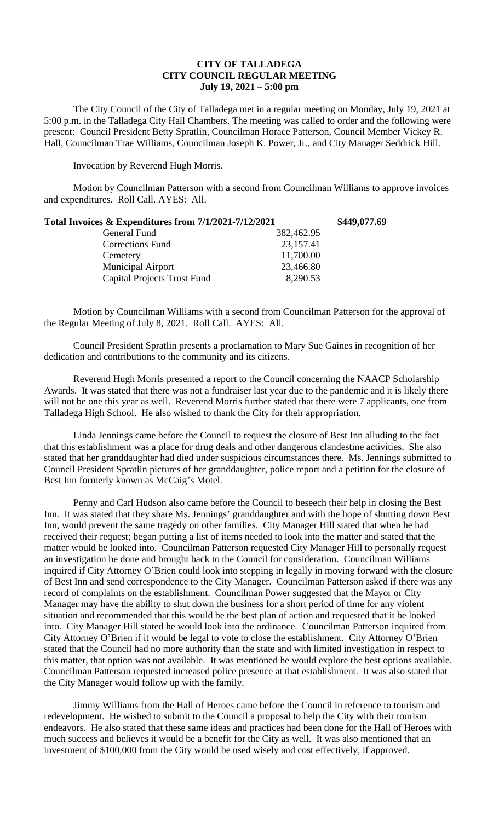## **CITY OF TALLADEGA CITY COUNCIL REGULAR MEETING July 19, 2021 – 5:00 pm**

The City Council of the City of Talladega met in a regular meeting on Monday, July 19, 2021 at 5:00 p.m. in the Talladega City Hall Chambers. The meeting was called to order and the following were present: Council President Betty Spratlin, Councilman Horace Patterson, Council Member Vickey R. Hall, Councilman Trae Williams, Councilman Joseph K. Power, Jr., and City Manager Seddrick Hill.

Invocation by Reverend Hugh Morris.

Motion by Councilman Patterson with a second from Councilman Williams to approve invoices and expenditures. Roll Call. AYES: All.

| Total Invoices & Expenditures from 7/1/2021-7/12/2021 |            | \$449,077.69 |
|-------------------------------------------------------|------------|--------------|
| General Fund                                          | 382,462.95 |              |
| <b>Corrections Fund</b>                               | 23,157.41  |              |
| Cemetery                                              | 11,700.00  |              |
| <b>Municipal Airport</b>                              | 23,466.80  |              |
| <b>Capital Projects Trust Fund</b>                    | 8,290.53   |              |

Motion by Councilman Williams with a second from Councilman Patterson for the approval of the Regular Meeting of July 8, 2021. Roll Call. AYES: All.

Council President Spratlin presents a proclamation to Mary Sue Gaines in recognition of her dedication and contributions to the community and its citizens.

Reverend Hugh Morris presented a report to the Council concerning the NAACP Scholarship Awards. It was stated that there was not a fundraiser last year due to the pandemic and it is likely there will not be one this year as well. Reverend Morris further stated that there were 7 applicants, one from Talladega High School. He also wished to thank the City for their appropriation.

Linda Jennings came before the Council to request the closure of Best Inn alluding to the fact that this establishment was a place for drug deals and other dangerous clandestine activities. She also stated that her granddaughter had died under suspicious circumstances there. Ms. Jennings submitted to Council President Spratlin pictures of her granddaughter, police report and a petition for the closure of Best Inn formerly known as McCaig's Motel.

Penny and Carl Hudson also came before the Council to beseech their help in closing the Best Inn. It was stated that they share Ms. Jennings' granddaughter and with the hope of shutting down Best Inn, would prevent the same tragedy on other families. City Manager Hill stated that when he had received their request; began putting a list of items needed to look into the matter and stated that the matter would be looked into. Councilman Patterson requested City Manager Hill to personally request an investigation be done and brought back to the Council for consideration. Councilman Williams inquired if City Attorney O'Brien could look into stepping in legally in moving forward with the closure of Best Inn and send correspondence to the City Manager. Councilman Patterson asked if there was any record of complaints on the establishment. Councilman Power suggested that the Mayor or City Manager may have the ability to shut down the business for a short period of time for any violent situation and recommended that this would be the best plan of action and requested that it be looked into. City Manager Hill stated he would look into the ordinance. Councilman Patterson inquired from City Attorney O'Brien if it would be legal to vote to close the establishment. City Attorney O'Brien stated that the Council had no more authority than the state and with limited investigation in respect to this matter, that option was not available. It was mentioned he would explore the best options available. Councilman Patterson requested increased police presence at that establishment. It was also stated that the City Manager would follow up with the family.

Jimmy Williams from the Hall of Heroes came before the Council in reference to tourism and redevelopment. He wished to submit to the Council a proposal to help the City with their tourism endeavors. He also stated that these same ideas and practices had been done for the Hall of Heroes with much success and believes it would be a benefit for the City as well. It was also mentioned that an investment of \$100,000 from the City would be used wisely and cost effectively, if approved.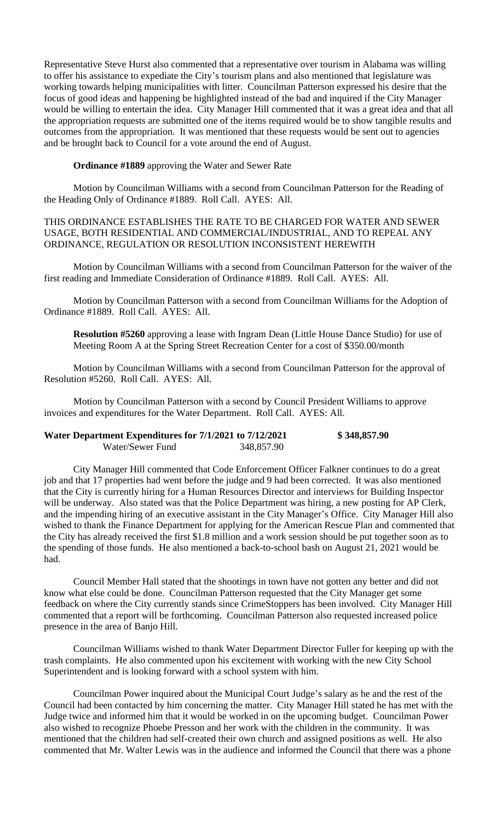Representative Steve Hurst also commented that a representative over tourism in Alabama was willing to offer his assistance to expediate the City's tourism plans and also mentioned that legislature was working towards helping municipalities with litter. Councilman Patterson expressed his desire that the focus of good ideas and happening be highlighted instead of the bad and inquired if the City Manager would be willing to entertain the idea. City Manager Hill commented that it was a great idea and that all the appropriation requests are submitted one of the items required would be to show tangible results and outcomes from the appropriation. It was mentioned that these requests would be sent out to agencies and be brought back to Council for a vote around the end of August.

**Ordinance #1889** approving the Water and Sewer Rate

Motion by Councilman Williams with a second from Councilman Patterson for the Reading of the Heading Only of Ordinance #1889. Roll Call. AYES: All.

THIS ORDINANCE ESTABLISHES THE RATE TO BE CHARGED FOR WATER AND SEWER USAGE, BOTH RESIDENTIAL AND COMMERCIAL/INDUSTRIAL, AND TO REPEAL ANY ORDINANCE, REGULATION OR RESOLUTION INCONSISTENT HEREWITH

Motion by Councilman Williams with a second from Councilman Patterson for the waiver of the first reading and Immediate Consideration of Ordinance #1889. Roll Call. AYES: All.

Motion by Councilman Patterson with a second from Councilman Williams for the Adoption of Ordinance #1889. Roll Call. AYES: All.

**Resolution #5260** approving a lease with Ingram Dean (Little House Dance Studio) for use of Meeting Room A at the Spring Street Recreation Center for a cost of \$350.00/month

Motion by Councilman Williams with a second from Councilman Patterson for the approval of Resolution #5260. Roll Call. AYES: All.

Motion by Councilman Patterson with a second by Council President Williams to approve invoices and expenditures for the Water Department. Roll Call. AYES: All.

| Water Department Expenditures for 7/1/2021 to 7/12/2021 |            | \$348,857.90 |
|---------------------------------------------------------|------------|--------------|
| Water/Sewer Fund                                        | 348,857.90 |              |

City Manager Hill commented that Code Enforcement Officer Falkner continues to do a great job and that 17 properties had went before the judge and 9 had been corrected. It was also mentioned that the City is currently hiring for a Human Resources Director and interviews for Building Inspector will be underway. Also stated was that the Police Department was hiring, a new posting for AP Clerk, and the impending hiring of an executive assistant in the City Manager's Office. City Manager Hill also wished to thank the Finance Department for applying for the American Rescue Plan and commented that the City has already received the first \$1.8 million and a work session should be put together soon as to the spending of those funds. He also mentioned a back-to-school bash on August 21, 2021 would be had.

Council Member Hall stated that the shootings in town have not gotten any better and did not know what else could be done. Councilman Patterson requested that the City Manager get some feedback on where the City currently stands since CrimeStoppers has been involved. City Manager Hill commented that a report will be forthcoming. Councilman Patterson also requested increased police presence in the area of Banjo Hill.

Councilman Williams wished to thank Water Department Director Fuller for keeping up with the trash complaints. He also commented upon his excitement with working with the new City School Superintendent and is looking forward with a school system with him.

Councilman Power inquired about the Municipal Court Judge's salary as he and the rest of the Council had been contacted by him concerning the matter. City Manager Hill stated he has met with the Judge twice and informed him that it would be worked in on the upcoming budget. Councilman Power also wished to recognize Phoebe Presson and her work with the children in the community. It was mentioned that the children had self-created their own church and assigned positions as well. He also commented that Mr. Walter Lewis was in the audience and informed the Council that there was a phone